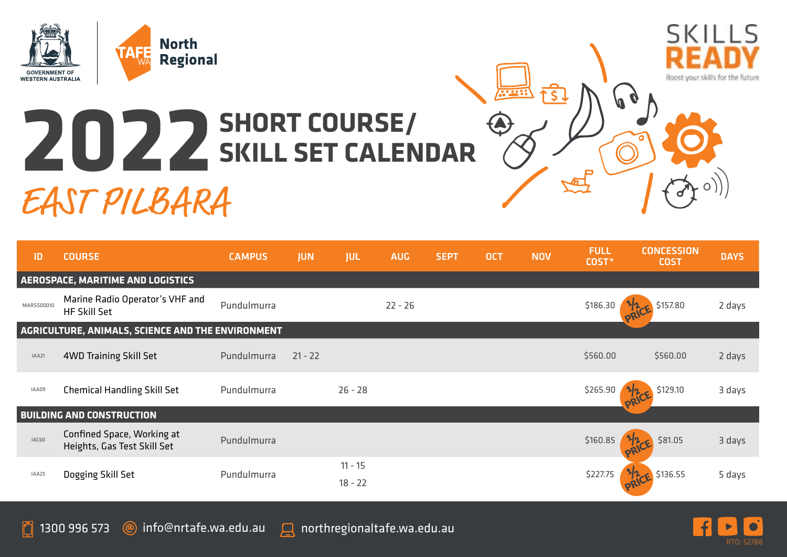

## **2022 SHORT COURSE/ SKILL SET CALENDAR**

EAST PILBARA





Boost your skills for the future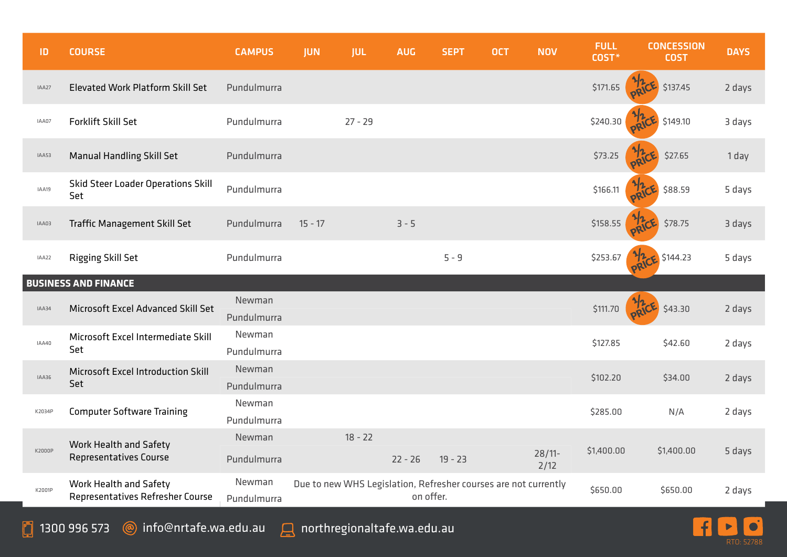| ID     | <b>COURSE</b>                                              | <b>CAMPUS</b>         | <b>JUN</b> | <b>JUL</b> | <b>AUG</b> | <b>SEPT</b>                                                     | <b>OCT</b> | <b>NOV</b>        | <b>FULL</b><br>COST* | <b>CONCESSION</b><br><b>COST</b> | <b>DAYS</b> |
|--------|------------------------------------------------------------|-----------------------|------------|------------|------------|-----------------------------------------------------------------|------------|-------------------|----------------------|----------------------------------|-------------|
| IAA27  | <b>Elevated Work Platform Skill Set</b>                    | Pundulmurra           |            |            |            |                                                                 |            |                   | \$171.65             | \$137.45                         | 2 days      |
| IAA07  | Forklift Skill Set                                         | Pundulmurra           |            | $27 - 29$  |            |                                                                 |            |                   | \$240.30             | \$149.10                         | 3 days      |
| IAA53  | <b>Manual Handling Skill Set</b>                           | Pundulmurra           |            |            |            |                                                                 |            |                   | \$73.25              | \$27.65                          | 1 day       |
| IAA19  | Skid Steer Loader Operations Skill<br>Set                  | Pundulmurra           |            |            |            |                                                                 |            |                   | \$166.11             | \$88.59                          | 5 days      |
| IAA03  | Traffic Management Skill Set                               | Pundulmurra           | $15 - 17$  |            | $3 - 5$    |                                                                 |            |                   | \$158.55             | \$78.75                          | 3 days      |
| IAA22  | Rigging Skill Set                                          | Pundulmurra           |            |            |            | $5 - 9$                                                         |            |                   | \$253.67             | \$144.23                         | 5 days      |
|        | <b>BUSINESS AND FINANCE</b>                                |                       |            |            |            |                                                                 |            |                   |                      |                                  |             |
| IAA34  | Microsoft Excel Advanced Skill Set                         | Newman<br>Pundulmurra |            |            |            |                                                                 |            |                   | \$111.70             | \$43.30                          | 2 days      |
| IAA40  | Microsoft Excel Intermediate Skill<br>Set                  | Newman<br>Pundulmurra |            |            |            |                                                                 |            |                   | \$127.85             | \$42.60                          | 2 days      |
| IAA36  | Microsoft Excel Introduction Skill<br>Set                  | Newman<br>Pundulmurra |            |            |            |                                                                 |            |                   | \$102.20             | \$34.00                          | 2 days      |
| K2034P | <b>Computer Software Training</b>                          | Newman<br>Pundulmurra |            |            |            |                                                                 |            |                   | \$285.00             | N/A                              | 2 days      |
| K2000P | Work Health and Safety<br>Representatives Course           | Newman<br>Pundulmurra |            | $18 - 22$  | $22 - 26$  | $19 - 23$                                                       |            | $28/11$ -<br>2/12 | \$1,400.00           | \$1,400.00                       | 5 days      |
| K2001P | Work Health and Safety<br>Representatives Refresher Course | Newman<br>Pundulmurra |            |            | on offer.  | Due to new WHS Legislation, Refresher courses are not currently |            |                   | \$650.00             | \$650.00                         | 2 days      |